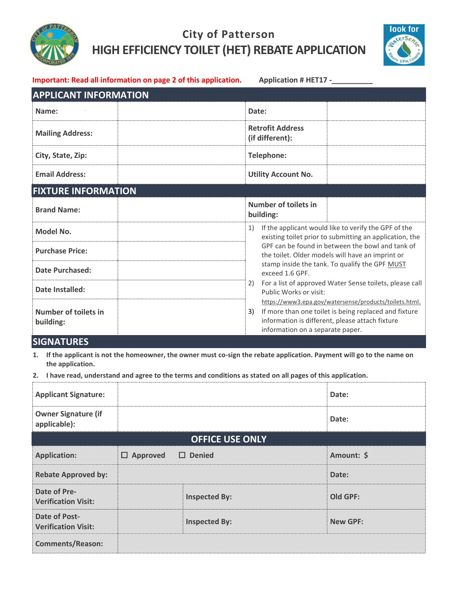

# **City of Patterson HIGH EFFICIENCY TOILET (HET) REBATE APPLICATION**



|                                   | Important: Read all information on page 2 of this application. | <b>Application # HET17 -</b> |                                                                                                                                                                                                                                                                                              |                                                                                                                                                                    |  |  |
|-----------------------------------|----------------------------------------------------------------|------------------------------|----------------------------------------------------------------------------------------------------------------------------------------------------------------------------------------------------------------------------------------------------------------------------------------------|--------------------------------------------------------------------------------------------------------------------------------------------------------------------|--|--|
| <b>APPLICANT INFORMATION</b>      |                                                                |                              |                                                                                                                                                                                                                                                                                              |                                                                                                                                                                    |  |  |
| Name:                             |                                                                | Date:                        |                                                                                                                                                                                                                                                                                              |                                                                                                                                                                    |  |  |
| <b>Mailing Address:</b>           |                                                                |                              | <b>Retrofit Address</b><br>(if different):                                                                                                                                                                                                                                                   |                                                                                                                                                                    |  |  |
| City, State, Zip:                 |                                                                |                              | <b>Telephone:</b>                                                                                                                                                                                                                                                                            |                                                                                                                                                                    |  |  |
| <b>Email Address:</b>             |                                                                |                              | <b>Utility Account No.</b>                                                                                                                                                                                                                                                                   |                                                                                                                                                                    |  |  |
| <b>FIXTURE INFORMATION</b>        |                                                                |                              |                                                                                                                                                                                                                                                                                              |                                                                                                                                                                    |  |  |
| <b>Brand Name:</b>                |                                                                |                              | <b>Number of toilets in</b><br>building:                                                                                                                                                                                                                                                     |                                                                                                                                                                    |  |  |
| Model No.                         |                                                                | 1)                           | If the applicant would like to verify the GPF of the<br>existing toilet prior to submitting an application, the<br>GPF can be found in between the bowl and tank of<br>the toilet. Older models will have an imprint or<br>stamp inside the tank. To qualify the GPF MUST<br>exceed 1.6 GPF. |                                                                                                                                                                    |  |  |
| <b>Purchase Price:</b>            |                                                                |                              |                                                                                                                                                                                                                                                                                              |                                                                                                                                                                    |  |  |
| <b>Date Purchased:</b>            |                                                                |                              |                                                                                                                                                                                                                                                                                              |                                                                                                                                                                    |  |  |
| Date Installed:                   |                                                                | 2)                           | Public Works or visit:                                                                                                                                                                                                                                                                       | For a list of approved Water Sense toilets, please call                                                                                                            |  |  |
| Number of toilets in<br>building: |                                                                | 3)                           | information on a separate paper.                                                                                                                                                                                                                                                             | https://www3.epa.gov/watersense/products/toilets.html.<br>If more than one toilet is being replaced and fixture<br>information is different, please attach fixture |  |  |

## **SIGNATURES**

- **1. If the applicant is not the homeowner, the owner must co-sign the rebate application. Payment will go to the name on the application.**
- **2. I have read, understand and agree to the terms and conditions as stated on all pages of this application.**

| <b>Applicant Signature:</b>                 |                                     |                      | Date:           |  |  |  |
|---------------------------------------------|-------------------------------------|----------------------|-----------------|--|--|--|
| <b>Owner Signature (if</b><br>applicable):  |                                     |                      | Date:           |  |  |  |
| <b>OFFICE USE ONLY</b>                      |                                     |                      |                 |  |  |  |
| <b>Application:</b>                         | $\square$ Denied<br>$\Box$ Approved |                      | Amount: \$      |  |  |  |
| <b>Rebate Approved by:</b>                  |                                     |                      | Date:           |  |  |  |
| Date of Pre-<br><b>Verification Visit:</b>  |                                     | <b>Inspected By:</b> | <b>Old GPF:</b> |  |  |  |
| Date of Post-<br><b>Verification Visit:</b> |                                     | <b>Inspected By:</b> | <b>New GPF:</b> |  |  |  |
| <b>Comments/Reason:</b>                     |                                     |                      |                 |  |  |  |